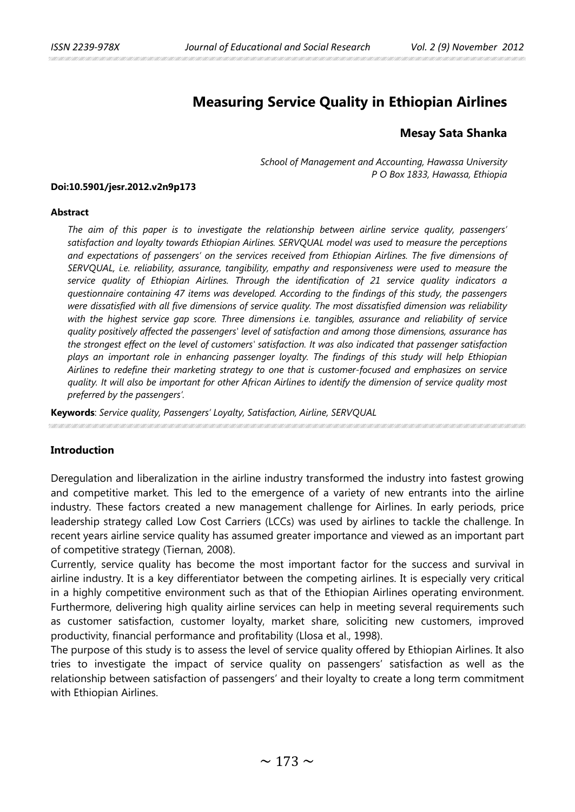# **Measuring Service Quality in Ethiopian Airlines**

## **Mesay Sata Shanka**

*School of Management and Accounting, Hawassa University P O Box 1833, Hawassa, Ethiopia*

#### **Doi:10.5901/jesr.2012.v2n9p173**

#### **Abstract**

*The aim of this paper is to investigate the relationship between airline service quality, passengers' satisfaction and loyalty towards Ethiopian Airlines. SERVQUAL model was used to measure the perceptions and expectations of passengers' on the services received from Ethiopian Airlines. The five dimensions of SERVQUAL, i.e. reliability, assurance, tangibility, empathy and responsiveness were used to measure the service quality of Ethiopian Airlines. Through the identification of 21 service quality indicators a questionnaire containing 47 items was developed. According to the findings of this study, the passengers were dissatisfied with all five dimensions of service quality. The most dissatisfied dimension was reliability with the highest service gap score. Three dimensions i.e. tangibles, assurance and reliability of service quality positively affected the passengers' level of satisfaction and among those dimensions, assurance has the strongest effect on the level of customers' satisfaction. It was also indicated that passenger satisfaction plays an important role in enhancing passenger loyalty. The findings of this study will help Ethiopian Airlines to redefine their marketing strategy to one that is customer-focused and emphasizes on service quality. It will also be important for other African Airlines to identify the dimension of service quality most preferred by the passengers'.*

**Keywords**: *Service quality, Passengers' Loyalty, Satisfaction, Airline, SERVQUAL*

### **Introduction**

Deregulation and liberalization in the airline industry transformed the industry into fastest growing and competitive market. This led to the emergence of a variety of new entrants into the airline industry. These factors created a new management challenge for Airlines. In early periods, price leadership strategy called Low Cost Carriers (LCCs) was used by airlines to tackle the challenge. In recent years airline service quality has assumed greater importance and viewed as an important part of competitive strategy (Tiernan, 2008).

Currently, service quality has become the most important factor for the success and survival in airline industry. It is a key differentiator between the competing airlines. It is especially very critical in a highly competitive environment such as that of the Ethiopian Airlines operating environment. Furthermore, delivering high quality airline services can help in meeting several requirements such as customer satisfaction, customer loyalty, market share, soliciting new customers, improved productivity, financial performance and profitability (Llosa et al., 1998).

The purpose of this study is to assess the level of service quality offered by Ethiopian Airlines. It also tries to investigate the impact of service quality on passengers' satisfaction as well as the relationship between satisfaction of passengers' and their loyalty to create a long term commitment with Ethiopian Airlines.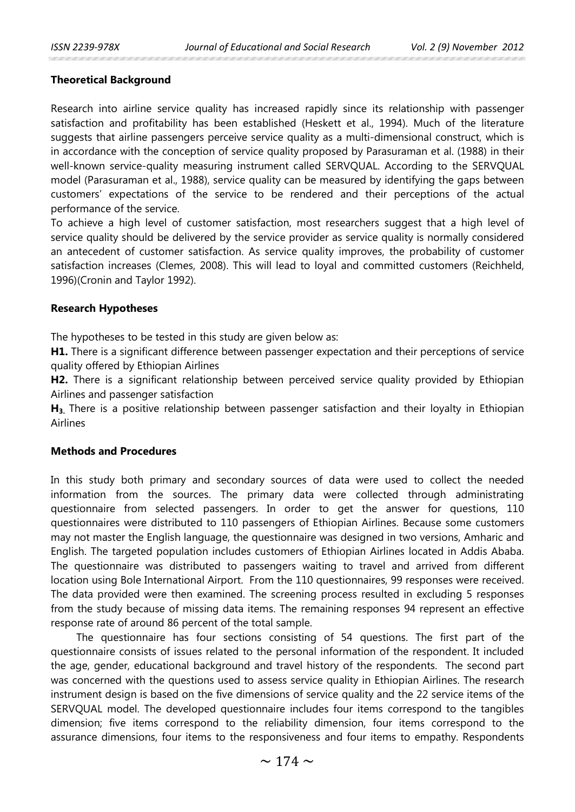### **Theoretical Background**

Research into airline service quality has increased rapidly since its relationship with passenger satisfaction and profitability has been established (Heskett et al., 1994). Much of the literature suggests that airline passengers perceive service quality as a multi-dimensional construct, which is in accordance with the conception of service quality proposed by Parasuraman et al. (1988) in their well-known service-quality measuring instrument called SERVQUAL. According to the SERVQUAL model (Parasuraman et al., 1988), service quality can be measured by identifying the gaps between customers' expectations of the service to be rendered and their perceptions of the actual performance of the service.

To achieve a high level of customer satisfaction, most researchers suggest that a high level of service quality should be delivered by the service provider as service quality is normally considered an antecedent of customer satisfaction. As service quality improves, the probability of customer satisfaction increases (Clemes, 2008). This will lead to loyal and committed customers (Reichheld, 1996)(Cronin and Taylor 1992).

### **Research Hypotheses**

The hypotheses to be tested in this study are given below as:

**H1.** There is a significant difference between passenger expectation and their perceptions of service quality offered by Ethiopian Airlines

**H2.** There is a significant relationship between perceived service quality provided by Ethiopian Airlines and passenger satisfaction

**H3.** There is a positive relationship between passenger satisfaction and their loyalty in Ethiopian Airlines

#### **Methods and Procedures**

In this study both primary and secondary sources of data were used to collect the needed information from the sources. The primary data were collected through administrating questionnaire from selected passengers. In order to get the answer for questions, 110 questionnaires were distributed to 110 passengers of Ethiopian Airlines. Because some customers may not master the English language, the questionnaire was designed in two versions, Amharic and English. The targeted population includes customers of Ethiopian Airlines located in Addis Ababa. The questionnaire was distributed to passengers waiting to travel and arrived from different location using Bole International Airport. From the 110 questionnaires, 99 responses were received. The data provided were then examined. The screening process resulted in excluding 5 responses from the study because of missing data items. The remaining responses 94 represent an effective response rate of around 86 percent of the total sample.

The questionnaire has four sections consisting of 54 questions. The first part of the questionnaire consists of issues related to the personal information of the respondent. It included the age, gender, educational background and travel history of the respondents. The second part was concerned with the questions used to assess service quality in Ethiopian Airlines. The research instrument design is based on the five dimensions of service quality and the 22 service items of the SERVQUAL model. The developed questionnaire includes four items correspond to the tangibles dimension; five items correspond to the reliability dimension, four items correspond to the assurance dimensions, four items to the responsiveness and four items to empathy. Respondents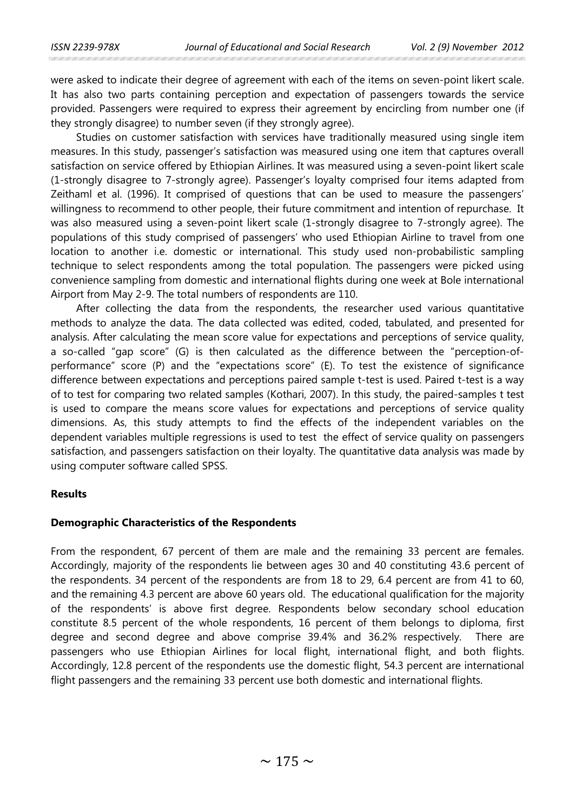were asked to indicate their degree of agreement with each of the items on seven-point likert scale. It has also two parts containing perception and expectation of passengers towards the service provided. Passengers were required to express their agreement by encircling from number one (if they strongly disagree) to number seven (if they strongly agree).

Studies on customer satisfaction with services have traditionally measured using single item measures. In this study, passenger's satisfaction was measured using one item that captures overall satisfaction on service offered by Ethiopian Airlines. It was measured using a seven-point likert scale (1-strongly disagree to 7-strongly agree). Passenger's loyalty comprised four items adapted from Zeithaml et al. (1996). It comprised of questions that can be used to measure the passengers' willingness to recommend to other people, their future commitment and intention of repurchase. It was also measured using a seven-point likert scale (1-strongly disagree to 7-strongly agree). The populations of this study comprised of passengers' who used Ethiopian Airline to travel from one location to another i.e. domestic or international. This study used non-probabilistic sampling technique to select respondents among the total population. The passengers were picked using convenience sampling from domestic and international flights during one week at Bole international Airport from May 2-9. The total numbers of respondents are 110.

After collecting the data from the respondents, the researcher used various quantitative methods to analyze the data. The data collected was edited, coded, tabulated, and presented for analysis. After calculating the mean score value for expectations and perceptions of service quality, a so-called "gap score" (G) is then calculated as the difference between the "perception-ofperformance" score (P) and the "expectations score" (E). To test the existence of significance difference between expectations and perceptions paired sample t-test is used. Paired t-test is a way of to test for comparing two related samples (Kothari, 2007). In this study, the paired-samples t test is used to compare the means score values for expectations and perceptions of service quality dimensions. As, this study attempts to find the effects of the independent variables on the dependent variables multiple regressions is used to test the effect of service quality on passengers satisfaction, and passengers satisfaction on their loyalty. The quantitative data analysis was made by using computer software called SPSS.

### **Results**

#### **Demographic Characteristics of the Respondents**

From the respondent, 67 percent of them are male and the remaining 33 percent are females. Accordingly, majority of the respondents lie between ages 30 and 40 constituting 43.6 percent of the respondents. 34 percent of the respondents are from 18 to 29, 6.4 percent are from 41 to 60, and the remaining 4.3 percent are above 60 years old. The educational qualification for the majority of the respondents' is above first degree. Respondents below secondary school education constitute 8.5 percent of the whole respondents, 16 percent of them belongs to diploma, first degree and second degree and above comprise 39.4% and 36.2% respectively. There are passengers who use Ethiopian Airlines for local flight, international flight, and both flights. Accordingly, 12.8 percent of the respondents use the domestic flight, 54.3 percent are international flight passengers and the remaining 33 percent use both domestic and international flights.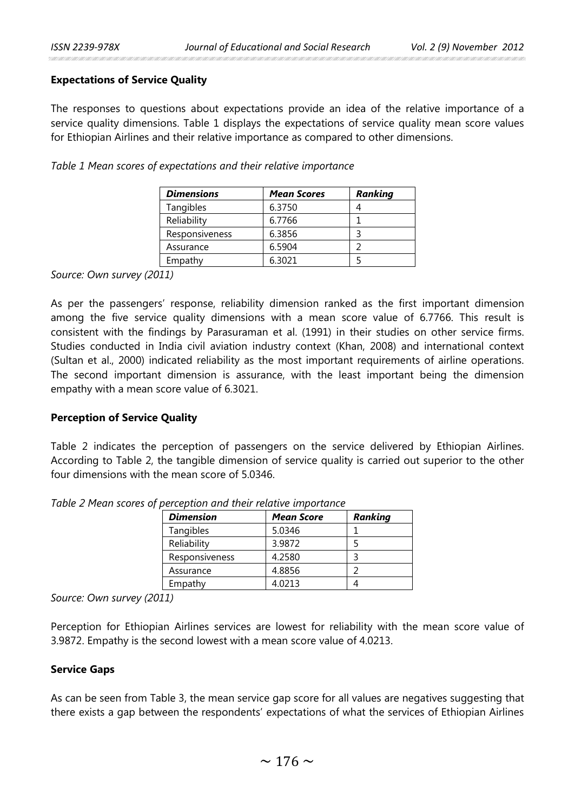### **Expectations of Service Quality**

The responses to questions about expectations provide an idea of the relative importance of a service quality dimensions. Table 1 displays the expectations of service quality mean score values for Ethiopian Airlines and their relative importance as compared to other dimensions.

*Table 1 Mean scores of expectations and their relative importance*

| <b>Dimensions</b> | <b>Mean Scores</b> | Ranking |
|-------------------|--------------------|---------|
| Tangibles         | 6.3750             |         |
| Reliability       | 6.7766             |         |
| Responsiveness    | 6.3856             |         |
| Assurance         | 6.5904             |         |
| Empathy           | 6.3021             |         |

*Source: Own survey (2011)*

As per the passengers' response, reliability dimension ranked as the first important dimension among the five service quality dimensions with a mean score value of 6.7766. This result is consistent with the findings by Parasuraman et al. (1991) in their studies on other service firms. Studies conducted in India civil aviation industry context (Khan, 2008) and international context (Sultan et al., 2000) indicated reliability as the most important requirements of airline operations. The second important dimension is assurance, with the least important being the dimension empathy with a mean score value of 6.3021.

### **Perception of Service Quality**

Table 2 indicates the perception of passengers on the service delivered by Ethiopian Airlines. According to Table 2, the tangible dimension of service quality is carried out superior to the other four dimensions with the mean score of 5.0346.

| <b>Dimension</b> | <b>Mean Score</b> | Ranking |
|------------------|-------------------|---------|
| Tangibles        | 5.0346            |         |
| Reliability      | 3.9872            |         |
| Responsiveness   | 4.2580            |         |
| Assurance        | 4.8856            |         |
| Empathy          | 4.0213            |         |

*Table 2 Mean scores of perception and their relative importance*

*Source: Own survey (2011)*

Perception for Ethiopian Airlines services are lowest for reliability with the mean score value of 3.9872. Empathy is the second lowest with a mean score value of 4.0213.

### **Service Gaps**

As can be seen from Table 3, the mean service gap score for all values are negatives suggesting that there exists a gap between the respondents' expectations of what the services of Ethiopian Airlines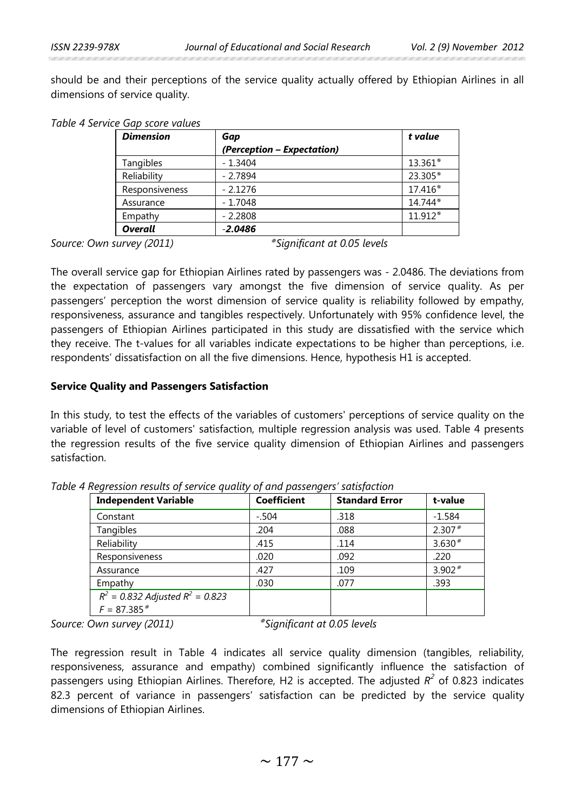should be and their perceptions of the service quality actually offered by Ethiopian Airlines in all dimensions of service quality.

| Table 4 Service Gap score values |
|----------------------------------|
|----------------------------------|

| <b>Dimension</b> | Gap                        | t value |
|------------------|----------------------------|---------|
|                  | (Perception – Expectation) |         |
| Tangibles        | $-1.3404$                  | 13.361* |
| Reliability      | $-2.7894$                  | 23.305* |
| Responsiveness   | $-2.1276$                  | 17.416* |
| Assurance        | $-1.7048$                  | 14.744* |
| Empathy          | $-2.2808$                  | 11.912* |
| <b>Overall</b>   | $-2.0486$                  |         |

*Source: Own survey (2011) Significant at 0.05 levels*

The overall service gap for Ethiopian Airlines rated by passengers was - 2.0486. The deviations from the expectation of passengers vary amongst the five dimension of service quality. As per passengers' perception the worst dimension of service quality is reliability followed by empathy, responsiveness, assurance and tangibles respectively. Unfortunately with 95% confidence level, the passengers of Ethiopian Airlines participated in this study are dissatisfied with the service which they receive. The t-values for all variables indicate expectations to be higher than perceptions, i.e. respondents' dissatisfaction on all the five dimensions. Hence, hypothesis H1 is accepted.

### **Service Quality and Passengers Satisfaction**

In this study, to test the effects of the variables of customers' perceptions of service quality on the variable of level of customers' satisfaction, multiple regression analysis was used. Table 4 presents the regression results of the five service quality dimension of Ethiopian Airlines and passengers satisfaction.

| <b>Independent Variable</b>                            | <b>Coefficient</b> | <b>Standard Error</b> | t-value  |
|--------------------------------------------------------|--------------------|-----------------------|----------|
| Constant                                               | $-.504$            | .318                  | $-1.584$ |
| Tangibles                                              | .204               | .088                  | $2.307*$ |
| Reliability                                            | .415               | .114                  | $3.630*$ |
| Responsiveness                                         | .020               | .092                  | .220     |
| Assurance                                              | .427               | .109                  | $3.902*$ |
| Empathy                                                | .030               | .077                  | .393     |
| $R^2$ = 0.832 Adjusted $R^2$ = 0.823<br>$F = 87.385$ * |                    |                       |          |

*Table 4 Regression results of service quality of and passengers' satisfaction* 

*Source: Own survey (2011) Significant at 0.05 levels*

The regression result in Table 4 indicates all service quality dimension (tangibles, reliability, responsiveness, assurance and empathy) combined significantly influence the satisfaction of passengers using Ethiopian Airlines. Therefore, H2 is accepted. The adjusted *R<sup>2</sup>* of 0.823 indicates 82.3 percent of variance in passengers' satisfaction can be predicted by the service quality dimensions of Ethiopian Airlines.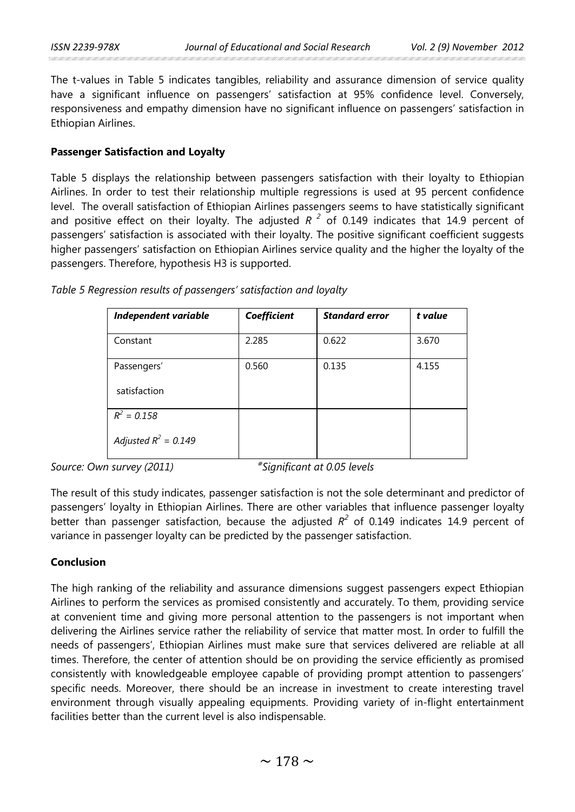The t-values in Table 5 indicates tangibles, reliability and assurance dimension of service quality have a significant influence on passengers' satisfaction at 95% confidence level. Conversely, responsiveness and empathy dimension have no significant influence on passengers' satisfaction in Ethiopian Airlines.

### **Passenger Satisfaction and Loyalty**

Table 5 displays the relationship between passengers satisfaction with their loyalty to Ethiopian Airlines. In order to test their relationship multiple regressions is used at 95 percent confidence level. The overall satisfaction of Ethiopian Airlines passengers seems to have statistically significant and positive effect on their loyalty. The adjusted  $R<sup>2</sup>$  of 0.149 indicates that 14.9 percent of passengers' satisfaction is associated with their loyalty. The positive significant coefficient suggests higher passengers' satisfaction on Ethiopian Airlines service quality and the higher the loyalty of the passengers. Therefore, hypothesis H3 is supported.

| Independent variable   | Coefficient | <b>Standard error</b> | t value |
|------------------------|-------------|-----------------------|---------|
| Constant               | 2.285       | 0.622                 | 3.670   |
| Passengers'            | 0.560       | 0.135                 | 4.155   |
| satisfaction           |             |                       |         |
| $R^2 = 0.158$          |             |                       |         |
| Adjusted $R^2 = 0.149$ |             |                       |         |

*Table 5 Regression results of passengers' satisfaction and loyalty*

*Source: Own survey (2011) Significant at 0.05 levels*

The result of this study indicates, passenger satisfaction is not the sole determinant and predictor of passengers' loyalty in Ethiopian Airlines. There are other variables that influence passenger loyalty better than passenger satisfaction, because the adjusted *R<sup>2</sup>* of 0.149 indicates 14.9 percent of variance in passenger loyalty can be predicted by the passenger satisfaction.

### **Conclusion**

The high ranking of the reliability and assurance dimensions suggest passengers expect Ethiopian Airlines to perform the services as promised consistently and accurately. To them, providing service at convenient time and giving more personal attention to the passengers is not important when delivering the Airlines service rather the reliability of service that matter most. In order to fulfill the needs of passengers', Ethiopian Airlines must make sure that services delivered are reliable at all times. Therefore, the center of attention should be on providing the service efficiently as promised consistently with knowledgeable employee capable of providing prompt attention to passengers' specific needs. Moreover, there should be an increase in investment to create interesting travel environment through visually appealing equipments. Providing variety of in-flight entertainment facilities better than the current level is also indispensable.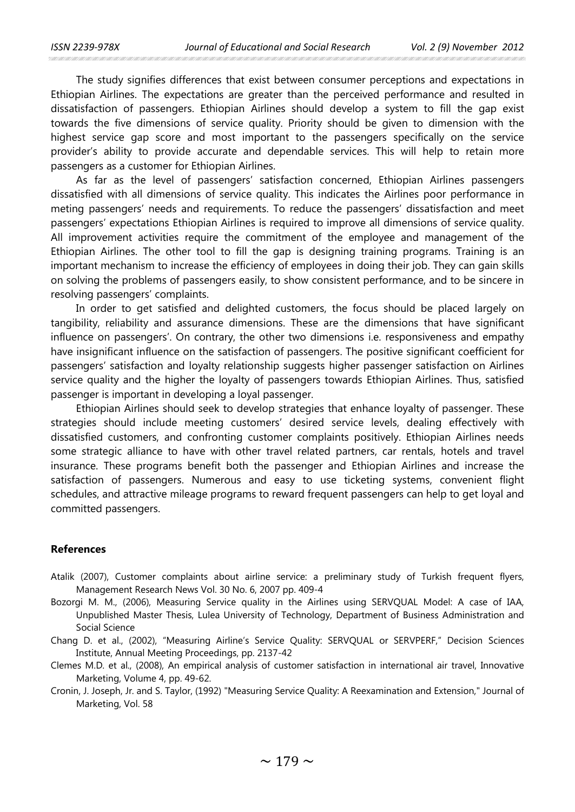The study signifies differences that exist between consumer perceptions and expectations in Ethiopian Airlines. The expectations are greater than the perceived performance and resulted in dissatisfaction of passengers. Ethiopian Airlines should develop a system to fill the gap exist towards the five dimensions of service quality. Priority should be given to dimension with the highest service gap score and most important to the passengers specifically on the service provider's ability to provide accurate and dependable services. This will help to retain more passengers as a customer for Ethiopian Airlines.

As far as the level of passengers' satisfaction concerned, Ethiopian Airlines passengers dissatisfied with all dimensions of service quality. This indicates the Airlines poor performance in meting passengers' needs and requirements. To reduce the passengers' dissatisfaction and meet passengers' expectations Ethiopian Airlines is required to improve all dimensions of service quality. All improvement activities require the commitment of the employee and management of the Ethiopian Airlines. The other tool to fill the gap is designing training programs. Training is an important mechanism to increase the efficiency of employees in doing their job. They can gain skills on solving the problems of passengers easily, to show consistent performance, and to be sincere in resolving passengers' complaints.

In order to get satisfied and delighted customers, the focus should be placed largely on tangibility, reliability and assurance dimensions. These are the dimensions that have significant influence on passengers'. On contrary, the other two dimensions i.e. responsiveness and empathy have insignificant influence on the satisfaction of passengers. The positive significant coefficient for passengers' satisfaction and loyalty relationship suggests higher passenger satisfaction on Airlines service quality and the higher the loyalty of passengers towards Ethiopian Airlines. Thus, satisfied passenger is important in developing a loyal passenger.

Ethiopian Airlines should seek to develop strategies that enhance loyalty of passenger. These strategies should include meeting customers' desired service levels, dealing effectively with dissatisfied customers, and confronting customer complaints positively. Ethiopian Airlines needs some strategic alliance to have with other travel related partners, car rentals, hotels and travel insurance. These programs benefit both the passenger and Ethiopian Airlines and increase the satisfaction of passengers. Numerous and easy to use ticketing systems, convenient flight schedules, and attractive mileage programs to reward frequent passengers can help to get loyal and committed passengers.

#### **References**

- Atalik (2007), Customer complaints about airline service: a preliminary study of Turkish frequent flyers, Management Research News Vol. 30 No. 6, 2007 pp. 409-4
- Bozorgi M. M., (2006), Measuring Service quality in the Airlines using SERVQUAL Model: A case of IAA, Unpublished Master Thesis, Lulea University of Technology, Department of Business Administration and Social Science
- Chang D. et al., (2002), "Measuring Airline's Service Quality: SERVQUAL or SERVPERF," Decision Sciences Institute, Annual Meeting Proceedings, pp. 2137-42
- Clemes M.D. et al., (2008), An empirical analysis of customer satisfaction in international air travel, Innovative Marketing, Volume 4, pp. 49-62.
- Cronin, J. Joseph, Jr. and S. Taylor, (1992) "Measuring Service Quality: A Reexamination and Extension," Journal of Marketing, Vol. 58